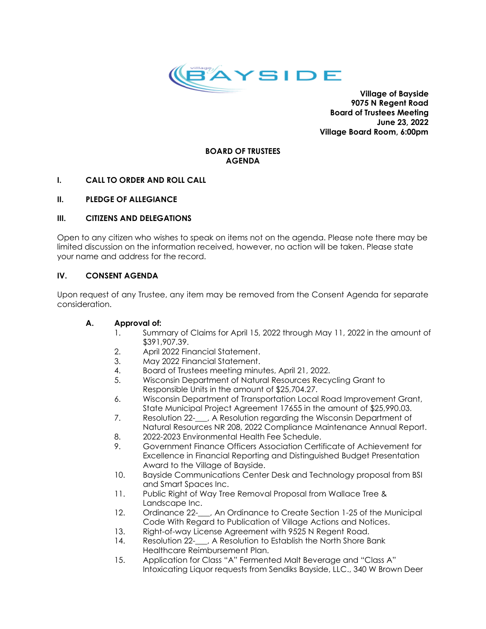

**Village of Bayside 9075 N Regent Road Board of Trustees Meeting June 23, 2022 Village Board Room, 6:00pm**

## **BOARD OF TRUSTEES AGENDA**

## **I. CALL TO ORDER AND ROLL CALL**

## **II. PLEDGE OF ALLEGIANCE**

# **III. CITIZENS AND DELEGATIONS**

Open to any citizen who wishes to speak on items not on the agenda. Please note there may be limited discussion on the information received, however, no action will be taken. Please state your name and address for the record.

# **IV. CONSENT AGENDA**

Upon request of any Trustee, any item may be removed from the Consent Agenda for separate consideration.

## **A. Approval of:**

- 1. Summary of Claims for April 15, 2022 through May 11, 2022 in the amount of \$391,907.39.
- 2. April 2022 Financial Statement.
- 3. May 2022 Financial Statement.
- 4. Board of Trustees meeting minutes, April 21, 2022.
- 5. Wisconsin Department of Natural Resources Recycling Grant to Responsible Units in the amount of \$25,704.27.
- 6. Wisconsin Department of Transportation Local Road Improvement Grant, State Municipal Project Agreement 17655 in the amount of \$25,990.03.
- 7. Resolution 22-\_\_\_, A Resolution regarding the Wisconsin Department of Natural Resources NR 208, 2022 Compliance Maintenance Annual Report.
- 8. 2022-2023 Environmental Health Fee Schedule.
- 9. Government Finance Officers Association Certificate of Achievement for Excellence in Financial Reporting and Distinguished Budget Presentation Award to the Village of Bayside.
- 10. Bayside Communications Center Desk and Technology proposal from BSI and Smart Spaces Inc.
- 11. Public Right of Way Tree Removal Proposal from Wallace Tree & Landscape Inc.
- 12. Ordinance 22-\_\_, An Ordinance to Create Section 1-25 of the Municipal Code With Regard to Publication of Village Actions and Notices.
- 13. Right-of-way License Agreement with 9525 N Regent Road.
- 14. Resolution 22-\_\_, A Resolution to Establish the North Shore Bank Healthcare Reimbursement Plan.
- 15. Application for Class "A" Fermented Malt Beverage and "Class A" Intoxicating Liquor requests from Sendiks Bayside, LLC., 340 W Brown Deer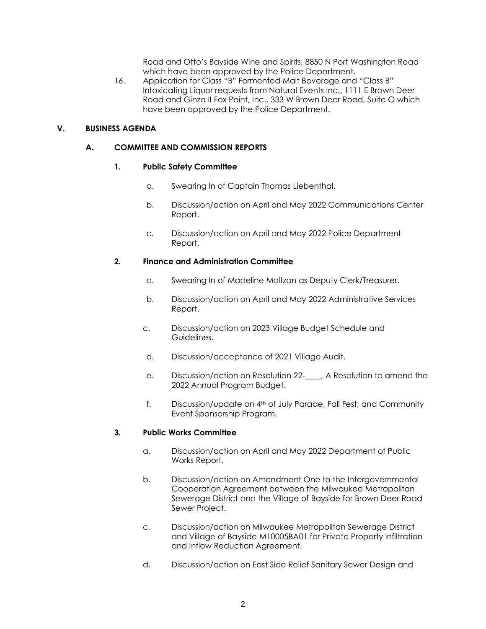Road and Otto's Bayside Wine and Spirits, 8850 N Port Washington Road which have been approved by the Police Department.

16. Application for Class "B" Fermented Malt Beverage and "Class B" Intoxicating Liquor requests from Natural Events Inc., 1111 E Brown Deer Road and Ginza II Fox Point, Inc., 333 W Brown Deer Road, Suite O which have been approved by the Police Department.

## **V. BUSINESS AGENDA**

## **A. COMMITTEE AND COMMISSION REPORTS**

### **1. Public Safety Committee**

- a. Swearing In of Captain Thomas Liebenthal.
- b. Discussion/action on April and May 2022 Communications Center Report.
- c. Discussion/action on April and May 2022 Police Department Report.

### **2. Finance and Administration Committee**

- a. Swearing In of Madeline Moltzan as Deputy Clerk/Treasurer.
- b. Discussion/action on April and May 2022 Administrative Services Report.
- c. Discussion/action on 2023 Village Budget Schedule and Guidelines.
- d. Discussion/acceptance of 2021 Village Audit.
- e. Discussion/action on Resolution 22-\_\_\_\_, A Resolution to amend the 2022 Annual Program Budget.
- f. Discussion/update on 4th of July Parade, Fall Fest, and Community Event Sponsorship Program.

#### **3. Public Works Committee**

- a. Discussion/action on April and May 2022 Department of Public Works Report.
- b. Discussion/action on Amendment One to the Intergovernmental Cooperation Agreement between the Milwaukee Metropolitan Sewerage District and the Village of Bayside for Brown Deer Road Sewer Project.
- c. Discussion/action on Milwaukee Metropolitan Sewerage District and Village of Bayside M10005BA01 for Private Property Infiltration and Inflow Reduction Agreement.
- d. Discussion/action on East Side Relief Sanitary Sewer Design and